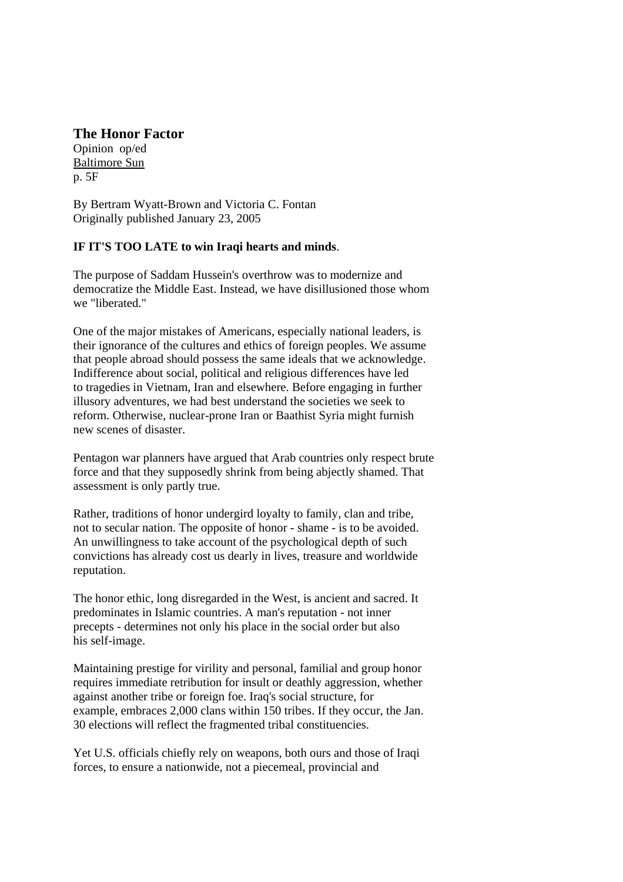## **The Honor Factor**

Opinion op/ed Baltimore Sun p. 5F

By Bertram Wyatt-Brown and Victoria C. Fontan Originally published January 23, 2005

## **IF IT'S TOO LATE to win Iraqi hearts and minds**.

The purpose of Saddam Hussein's overthrow was to modernize and democratize the Middle East. Instead, we have disillusioned those whom we "liberated."

One of the major mistakes of Americans, especially national leaders, is their ignorance of the cultures and ethics of foreign peoples. We assume that people abroad should possess the same ideals that we acknowledge. Indifference about social, political and religious differences have led to tragedies in Vietnam, Iran and elsewhere. Before engaging in further illusory adventures, we had best understand the societies we seek to reform. Otherwise, nuclear-prone Iran or Baathist Syria might furnish new scenes of disaster.

Pentagon war planners have argued that Arab countries only respect brute force and that they supposedly shrink from being abjectly shamed. That assessment is only partly true.

Rather, traditions of honor undergird loyalty to family, clan and tribe, not to secular nation. The opposite of honor - shame - is to be avoided. An unwillingness to take account of the psychological depth of such convictions has already cost us dearly in lives, treasure and worldwide reputation.

The honor ethic, long disregarded in the West, is ancient and sacred. It predominates in Islamic countries. A man's reputation - not inner precepts - determines not only his place in the social order but also his self-image.

Maintaining prestige for virility and personal, familial and group honor requires immediate retribution for insult or deathly aggression, whether against another tribe or foreign foe. Iraq's social structure, for example, embraces 2,000 clans within 150 tribes. If they occur, the Jan. 30 elections will reflect the fragmented tribal constituencies.

Yet U.S. officials chiefly rely on weapons, both ours and those of Iraqi forces, to ensure a nationwide, not a piecemeal, provincial and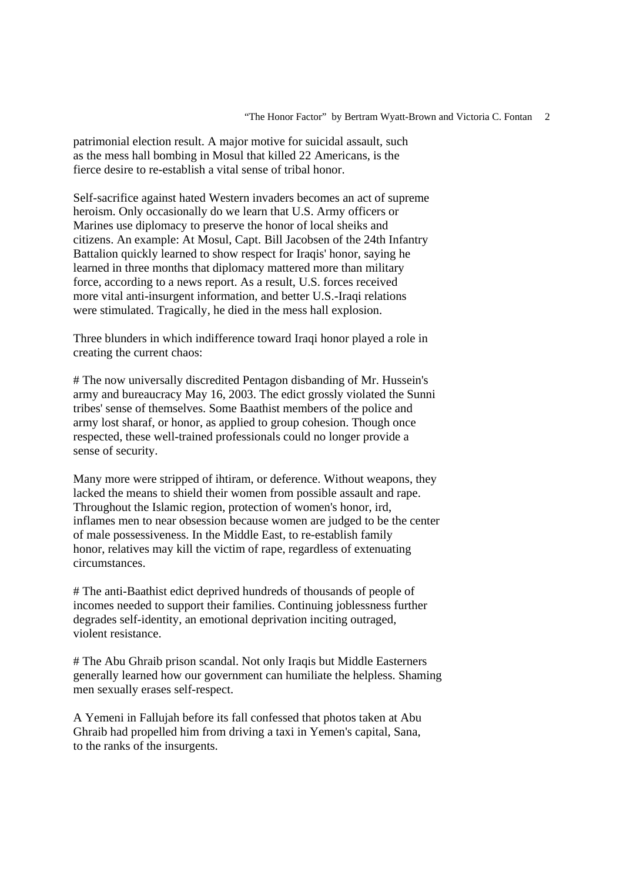patrimonial election result. A major motive for suicidal assault, such as the mess hall bombing in Mosul that killed 22 Americans, is the fierce desire to re-establish a vital sense of tribal honor.

Self-sacrifice against hated Western invaders becomes an act of supreme heroism. Only occasionally do we learn that U.S. Army officers or Marines use diplomacy to preserve the honor of local sheiks and citizens. An example: At Mosul, Capt. Bill Jacobsen of the 24th Infantry Battalion quickly learned to show respect for Iraqis' honor, saying he learned in three months that diplomacy mattered more than military force, according to a news report. As a result, U.S. forces received more vital anti-insurgent information, and better U.S.-Iraqi relations were stimulated. Tragically, he died in the mess hall explosion.

Three blunders in which indifference toward Iraqi honor played a role in creating the current chaos:

# The now universally discredited Pentagon disbanding of Mr. Hussein's army and bureaucracy May 16, 2003. The edict grossly violated the Sunni tribes' sense of themselves. Some Baathist members of the police and army lost sharaf, or honor, as applied to group cohesion. Though once respected, these well-trained professionals could no longer provide a sense of security.

Many more were stripped of ihtiram, or deference. Without weapons, they lacked the means to shield their women from possible assault and rape. Throughout the Islamic region, protection of women's honor, ird, inflames men to near obsession because women are judged to be the center of male possessiveness. In the Middle East, to re-establish family honor, relatives may kill the victim of rape, regardless of extenuating circumstances.

# The anti-Baathist edict deprived hundreds of thousands of people of incomes needed to support their families. Continuing joblessness further degrades self-identity, an emotional deprivation inciting outraged, violent resistance.

# The Abu Ghraib prison scandal. Not only Iraqis but Middle Easterners generally learned how our government can humiliate the helpless. Shaming men sexually erases self-respect.

A Yemeni in Fallujah before its fall confessed that photos taken at Abu Ghraib had propelled him from driving a taxi in Yemen's capital, Sana, to the ranks of the insurgents.